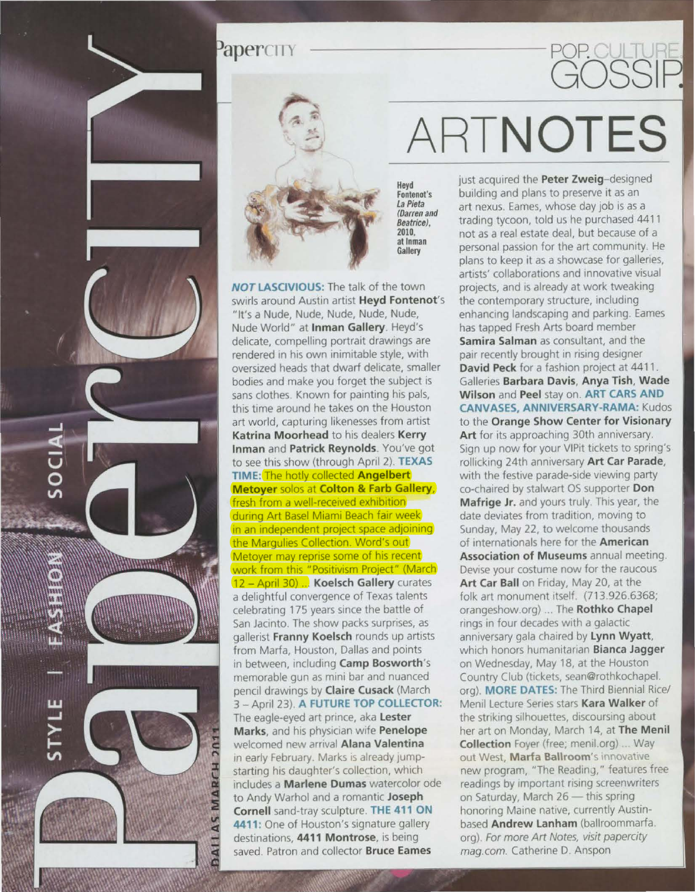### PaperCITY  $POP$ .



Heyd Fontenot's La Pieta (Darren and 2010,<br>at Inman **Gallery** 

NOT LASCIVIOUS: The talk of the town swirls around Austin artist Heyd Fontenot's "It's a Nude, Nude, Nude, Nude, Nude, Nude World" at Inman Gallery. Heyd's delicate, compelling portrait drawings are rendered in his own inimitable style, with oversized heads that dwarf delicate, smaller bodies and make you forget the subject is sans clothes. Known for painting his pals, this time around he takes on the Houston art world, capturing likenesses from artist Katrina Moorhead to his dealers Kerry Inman and Patrick Reynolds. You've got to see this show (through April 2). TEXAS TIME. The hotly collected Angelbert Metoyer solos at Colton & Farb Gallery, fresh from a well-received exhibition during Art Basel Miami Beach fair week in an independent project space adjoining the Margulies Collection. Word's out Metoyer may reprise some of his recent work from this "Positivism Project" (March) 12 - April 30) ... Koelsch Gallery curates a delightful convergence of Texas talents celebrating 175 years since the battle of San Jacinto. The show packs surprises, as gallerist Franny Koelsch rounds up artists from Marfa, Houston, Dallas and points in between, including Camp Bosworth's memorable gun as mini bar and nuanced pencil drawings by Claire Cusack (March 3 - April 23). A FUTURE TOP COLLECTOR: The eagle-eyed art prince, aka Lester Marks, and his physician wife Penelope welcomed new arrival Alana Valentina in early February. Marks is already jumpstarting his daughter's collection, which includes a Marlene Dumas watercolor ode to Andy Warhol and a romantic Joseph Cornell sand-tray sculpture. THE 411 ON 4411: One of Houston's signature gallery destinations, 4411 Montrose, is being saved. Patron and collector Bruce Eames

AS MARCH 201

**HIAC** 

ASSESSED

# ARTNOTES

**GOSSIF** 

just acquired the Peter Zweig-designed building and plans to preserve it as an art nexus. Eames, whose day job is as a trading tycoon, told us he purchased 4411 not as a real estate deal, but because of a personal passion for the art community. He plans to keep it as a showcase for galleries, artists' collaborations and innovative visual projects, and is already at work tweaking the contemporary structure, including enhancing landscaping and parking. Eames has tapped Fresh Arts board member Samira Salman as consultant, and the pair recently brought in rising designer David Peck for a fashion project at 4411. Galleries Barbara Davis, Anya Tish, Wade Wilson and Peel stay on. ART CARS AND CANVASES, ANNIVERSARY-RAMA: Kudos to the Orange Show Center for Visionary Art for its approaching 30th anniversary. Sign up now for your VIPit tickets to spring's rollicking 24th anniversary Art Car Parade, with the festive parade-side viewing party co-chaired by stalwart OS supporter Don Mafrige Jr. and yours truly. This year, the date deviates from tradition, moving to Sunday, May 22, to welcome thousands of internationals here for the American Association of Museums annual meeting. Devise your costume now for the raucous Art Car Ball on Friday, May 20, at the folk art monument itself. (713.926.6368, orangeshow.org) ... The Rothko Chapel rings in four decades with a galactic anniversary gala chaired by Lynn Wyatt, which honors humanitarian Bianca Jagger on Wednesday, May 18, at the Houston Country Club (tickets, sean@rothkochapel org). MORE DATES: The Third Biennial Rice/ Menil Lecture Series stars Kara Walker of the striking silhouettes, discoursing about her art on Monday, March 14, at The Menil Collection Foyer (free; menil.org) ... Way out West, Marfa Ballroom's innovative new program, "The Reading," features free readings by important rising screenwriters on Saturday, March 26 - this spring honoring Maine native, currently Austinbased **Andrew Lanham** (ballroommarfa. org). For more Art Notes, visit papercity mag.com. Catherine D. Anspon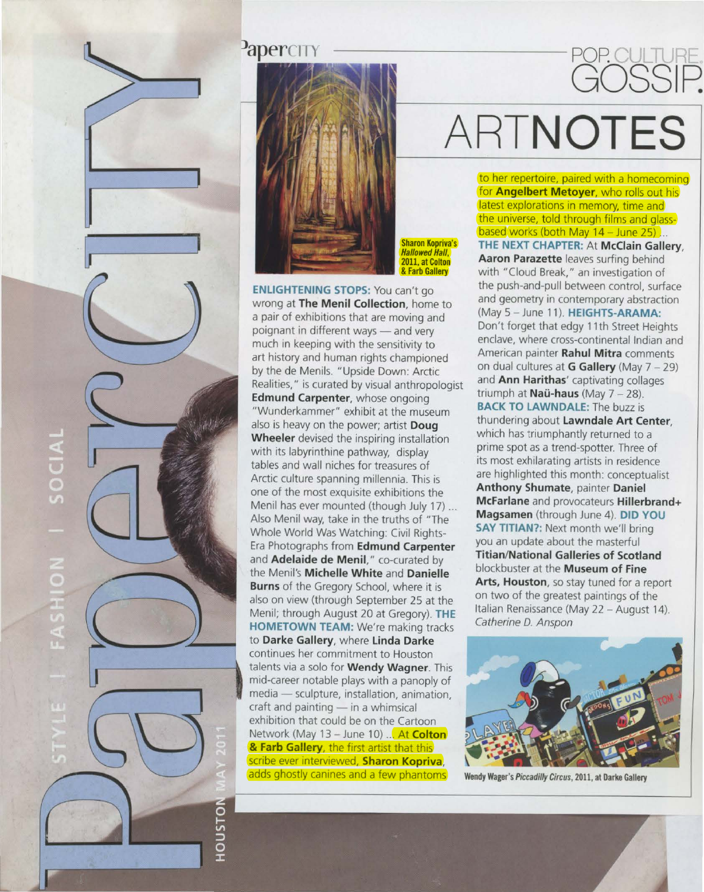### **PaperCITY**



Sharon Kopriva's **Hallowed Hall,** 2011, at Colton & Farb Gallery

**ENliGHTENING STOPS:** You can't go wrong at **The Menil Collection,** home to a pair of exhibitions that are moving and poignant in different ways — and very much in keeping with the sensitivity to art history and human rights championed by the de Menils. "Upside Down: Arctic Realities," is curated by v isual anthropologist **Edmund Carpenter,** whose ongoing "Wunderkammer" exhibit at the museum also is heavy on t he power; artist **Doug Wheeler** devised the inspiring installation w ith its labyrinthine pathway, display tab les and wall niches for treasures of Arctic culture spanning millennia. This is one of the most exquisite exhibitions the Menil has ever mounted (though July 17) ... Also Menil way, take in the truths of "The Whole World Was Watching: Civil Rights-Era Photographs from **Edmund Carpenter**  and **Adelaide de Menil,"** co-curated by the Menil's **Michelle White** and **Danielle Burns** of the Gregory School, where it is also on view (through September 25 at the Menil; through August 20 at Gregory). **THE HOMETOWN TEAM:** We're making tracks to Darke Gallery, where Linda Darke continues her commitment to Houston talents via a solo for **Wendy Wagner.** This mid-career notable plays with a panoply of media — sculpture, installation, animation,  $cr$ aft and painting  $-$  in a whimsical exhibition that could be on the Cartoon Network (May 13 - June 10) ... At **Colton** & **Farb G all ery,** the first artist that this scribe ever 1nterv1ewed, **Sh aron Kopriva,**  adds ghostly canines and a few phantoms

 $\boxed{\phantom{1}}$ 

 $\overline{\circ}$ 

ਤ

SOCIAL

**NOT** 

## **ARTNOTES**

POP.

GOSSIP.

to her repertoire, paired with a homecoming for **Angelbert Metoyer,** who rolls out his latest explorations in memory, time and the universe, told through films and glassbased works (both May 14 - June 25)... **THE NEXT CHAPTER: At McClain Gallery, Aaron Parazette** leaves surfing behind with "Cloud Break," an investigation of the push-and-pull between control, surface and geometry in contemporary abstraction (May 5 - June 11 ). **HEIGHTS-ARAMA:**  Don't forget that edgy 11th Street Heights enclave, where cross-continental Indian and American painter **Rahul Mitra** comments on dual cultures at **G Gallery** (May 7 - 29) and **Ann Harithas'** captivating collages triumph at **Nau-haus** (May 7- 28). **BACK TO LAWNDALE:** The buzz is thundering about **Lawndale Art Center**, which has triumphantly returned to a prime spot as a trend -spotter. Three of its most exhilarating artists in residence are highlighted this month: conceptualist **Anthony Shumate,** painter **Daniel McFarlane** and provocateurs **Hillerbrand+ Magsamen** (through June 4). **DID YOU SAY TITIAN?:** Next month we'll bring you an update about the masterful **Titian /National Galleries of Scotland**  blockbuster at the **Museum of Fine Arts, Houston,** so stay tuned for a report on two of the greatest paintings of the Ita lian Renaissance (May 22 - August 14). Catherine D. Anspon



Wendy Wager's Piccadilly Circus, 2011, at Darke Gallery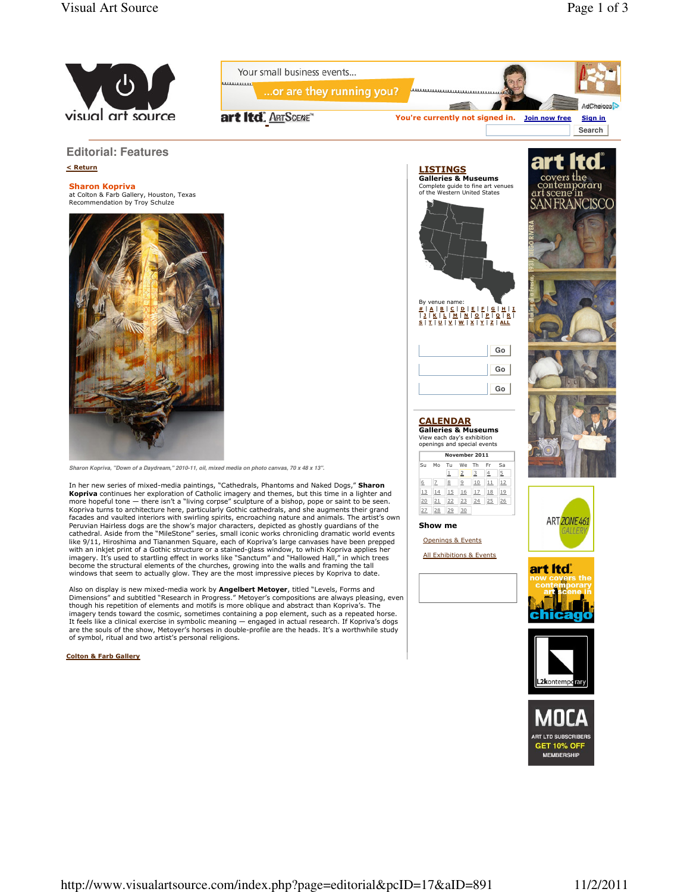